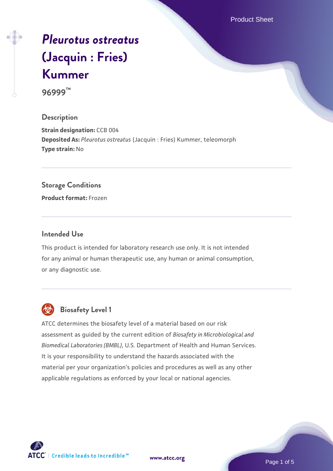Product Sheet

# *[Pleurotus ostreatus](https://www.atcc.org/products/96999)* **[\(Jacquin : Fries\)](https://www.atcc.org/products/96999) [Kummer](https://www.atcc.org/products/96999)**

**96999™**

#### **Description**

**Strain designation: CCB 004 Deposited As:** *Pleurotus ostreatus* (Jacquin : Fries) Kummer, teleomorph **Type strain:** No

#### **Storage Conditions**

**Product format:** Frozen

## **Intended Use**

This product is intended for laboratory research use only. It is not intended for any animal or human therapeutic use, any human or animal consumption, or any diagnostic use.



# **Biosafety Level 1**

ATCC determines the biosafety level of a material based on our risk assessment as guided by the current edition of *Biosafety in Microbiological and Biomedical Laboratories (BMBL)*, U.S. Department of Health and Human Services. It is your responsibility to understand the hazards associated with the material per your organization's policies and procedures as well as any other applicable regulations as enforced by your local or national agencies.

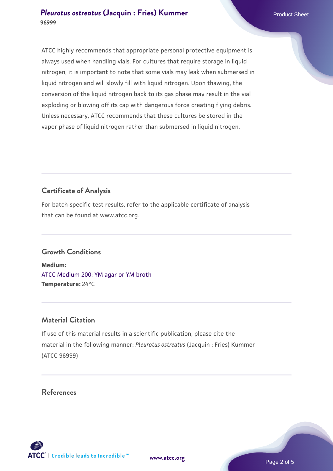#### **[Pleurotus ostreatus](https://www.atcc.org/products/96999) [\(Jacquin : Fries\) Kummer](https://www.atcc.org/products/96999)** Product Sheet **96999**

ATCC highly recommends that appropriate personal protective equipment is always used when handling vials. For cultures that require storage in liquid nitrogen, it is important to note that some vials may leak when submersed in liquid nitrogen and will slowly fill with liquid nitrogen. Upon thawing, the conversion of the liquid nitrogen back to its gas phase may result in the vial exploding or blowing off its cap with dangerous force creating flying debris. Unless necessary, ATCC recommends that these cultures be stored in the vapor phase of liquid nitrogen rather than submersed in liquid nitrogen.

# **Certificate of Analysis**

For batch-specific test results, refer to the applicable certificate of analysis that can be found at www.atcc.org.

# **Growth Conditions**

**Medium:**  [ATCC Medium 200: YM agar or YM broth](https://www.atcc.org/-/media/product-assets/documents/microbial-media-formulations/2/0/0/atcc-medium-200.pdf?rev=ac40fd74dc13433a809367b0b9da30fc) **Temperature:** 24°C

# **Material Citation**

If use of this material results in a scientific publication, please cite the material in the following manner: *Pleurotus ostreatus* (Jacquin : Fries) Kummer (ATCC 96999)

## **References**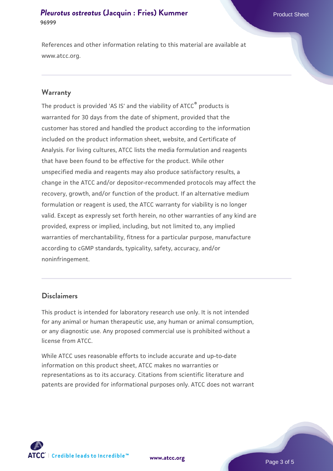#### **[Pleurotus ostreatus](https://www.atcc.org/products/96999) [\(Jacquin : Fries\) Kummer](https://www.atcc.org/products/96999)** Product Sheet **96999**

References and other information relating to this material are available at www.atcc.org.

#### **Warranty**

The product is provided 'AS IS' and the viability of ATCC® products is warranted for 30 days from the date of shipment, provided that the customer has stored and handled the product according to the information included on the product information sheet, website, and Certificate of Analysis. For living cultures, ATCC lists the media formulation and reagents that have been found to be effective for the product. While other unspecified media and reagents may also produce satisfactory results, a change in the ATCC and/or depositor-recommended protocols may affect the recovery, growth, and/or function of the product. If an alternative medium formulation or reagent is used, the ATCC warranty for viability is no longer valid. Except as expressly set forth herein, no other warranties of any kind are provided, express or implied, including, but not limited to, any implied warranties of merchantability, fitness for a particular purpose, manufacture according to cGMP standards, typicality, safety, accuracy, and/or noninfringement.

#### **Disclaimers**

This product is intended for laboratory research use only. It is not intended for any animal or human therapeutic use, any human or animal consumption, or any diagnostic use. Any proposed commercial use is prohibited without a license from ATCC.

While ATCC uses reasonable efforts to include accurate and up-to-date information on this product sheet, ATCC makes no warranties or representations as to its accuracy. Citations from scientific literature and patents are provided for informational purposes only. ATCC does not warrant

**[www.atcc.org](http://www.atcc.org)**



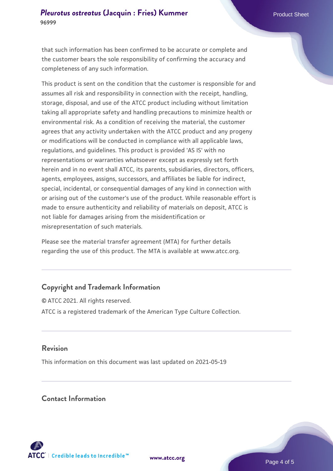that such information has been confirmed to be accurate or complete and the customer bears the sole responsibility of confirming the accuracy and completeness of any such information.

This product is sent on the condition that the customer is responsible for and assumes all risk and responsibility in connection with the receipt, handling, storage, disposal, and use of the ATCC product including without limitation taking all appropriate safety and handling precautions to minimize health or environmental risk. As a condition of receiving the material, the customer agrees that any activity undertaken with the ATCC product and any progeny or modifications will be conducted in compliance with all applicable laws, regulations, and guidelines. This product is provided 'AS IS' with no representations or warranties whatsoever except as expressly set forth herein and in no event shall ATCC, its parents, subsidiaries, directors, officers, agents, employees, assigns, successors, and affiliates be liable for indirect, special, incidental, or consequential damages of any kind in connection with or arising out of the customer's use of the product. While reasonable effort is made to ensure authenticity and reliability of materials on deposit, ATCC is not liable for damages arising from the misidentification or misrepresentation of such materials.

Please see the material transfer agreement (MTA) for further details regarding the use of this product. The MTA is available at www.atcc.org.

# **Copyright and Trademark Information**

© ATCC 2021. All rights reserved. ATCC is a registered trademark of the American Type Culture Collection.

## **Revision**

This information on this document was last updated on 2021-05-19

## **Contact Information**



**[www.atcc.org](http://www.atcc.org)**